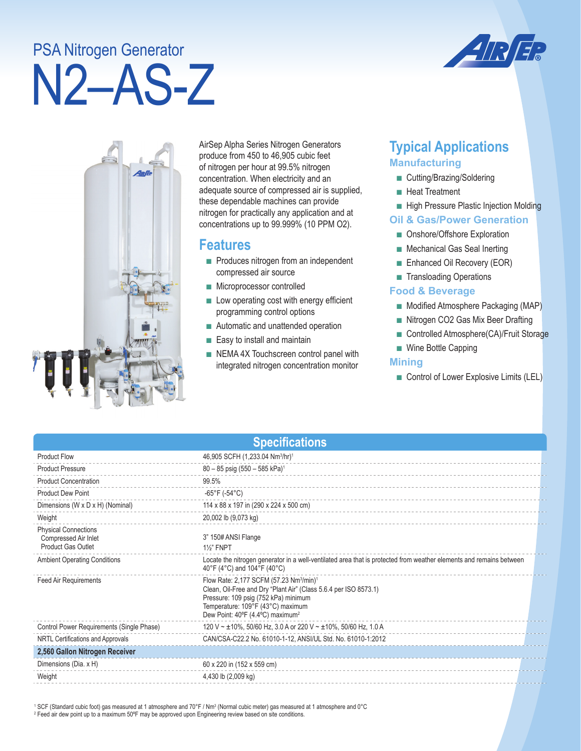# PSA Nitrogen Generator

# N2–AS-Z



AirSep Alpha Series Nitrogen Generators produce from 450 to 46,905 cubic feet of nitrogen per hour at 99.5% nitrogen concentration. When electricity and an adequate source of compressed air is supplied, these dependable machines can provide nitrogen for practically any application and at concentrations up to 99.999% (10 PPM O2).

### **Features**

- Produces nitrogen from an independent compressed air source
- Microprocessor controlled
- Low operating cost with energy efficient programming control options
- Automatic and unattended operation
- Easy to install and maintain
- NEMA 4X Touchscreen control panel with integrated nitrogen concentration monitor

## **Typical Applications Manufacturing**

- Cutting/Brazing/Soldering
- Heat Treatment
- High Pressure Plastic Injection Molding

#### **Oil & Gas/Power Generation**

- Onshore/Offshore Exploration
- Mechanical Gas Seal Inerting
- Enhanced Oil Recovery (EOR)
- Transloading Operations

#### **Food & Beverage**

- Modified Atmosphere Packaging (MAP)
- Nitrogen CO2 Gas Mix Beer Drafting
- Controlled Atmosphere(CA)/Fruit Storage
- Wine Bottle Capping

#### **Mining**

■ Control of Lower Explosive Limits (LEL)

| <b>Specifications</b>                                                            |                                                                                                                                                                                                                                                                  |  |  |
|----------------------------------------------------------------------------------|------------------------------------------------------------------------------------------------------------------------------------------------------------------------------------------------------------------------------------------------------------------|--|--|
| <b>Product Flow</b>                                                              | 46,905 SCFH (1,233.04 Nm <sup>3</sup> /hr) <sup>1</sup>                                                                                                                                                                                                          |  |  |
| <b>Product Pressure</b>                                                          | $80 - 85$ psig (550 - 585 kPa) <sup>1</sup>                                                                                                                                                                                                                      |  |  |
| <b>Product Concentration</b>                                                     | 99.5%                                                                                                                                                                                                                                                            |  |  |
| <b>Product Dew Point</b>                                                         | $-65^{\circ}$ F ( $-54^{\circ}$ C)                                                                                                                                                                                                                               |  |  |
| Dimensions (W x D x H) (Nominal)                                                 | 114 x 88 x 197 in (290 x 224 x 500 cm)                                                                                                                                                                                                                           |  |  |
| Weight                                                                           | 20,002 lb (9,073 kg)                                                                                                                                                                                                                                             |  |  |
| <b>Physical Connections</b><br>Compressed Air Inlet<br><b>Product Gas Outlet</b> | 3" 150# ANSI Flange<br><b>1%" FNPT</b>                                                                                                                                                                                                                           |  |  |
| <b>Ambient Operating Conditions</b>                                              | Locate the nitrogen generator in a well-ventilated area that is protected from weather elements and remains between<br>40°F (4°C) and 104°F (40°C)                                                                                                               |  |  |
| Feed Air Requirements                                                            | Flow Rate: 2,177 SCFM (57.23 Nm <sup>3</sup> /min) <sup>1</sup><br>Clean, Oil-Free and Dry "Plant Air" (Class 5.6.4 per ISO 8573.1)<br>Pressure: 109 psig (752 kPa) minimum<br>Temperature: 109°F (43°C) maximum<br>Dew Point: 40°F (4.4°C) maximum <sup>2</sup> |  |  |
| Control Power Requirements (Single Phase)                                        | 120 V ~ ±10%, 50/60 Hz, 3.0 A or 220 V ~ ±10%, 50/60 Hz, 1.0 A                                                                                                                                                                                                   |  |  |
| NRTL Certifications and Approvals                                                | CAN/CSA-C22.2 No. 61010-1-12, ANSI/UL Std. No. 61010-1:2012                                                                                                                                                                                                      |  |  |
| 2,560 Gallon Nitrogen Receiver                                                   |                                                                                                                                                                                                                                                                  |  |  |
| Dimensions (Dia. x H)                                                            | 60 x 220 in (152 x 559 cm)                                                                                                                                                                                                                                       |  |  |
| Weight                                                                           | 4,430 lb (2,009 kg)                                                                                                                                                                                                                                              |  |  |

 $^1$  SCF (Standard cubic foot) gas measured at 1 atmosphere and 70°F / Nm $^3$  (Normal cubic meter) gas measured at 1 atmosphere and 0°C 2 Feed air dew point up to a maximum 50ºF may be approved upon Engineering review based on site conditions.